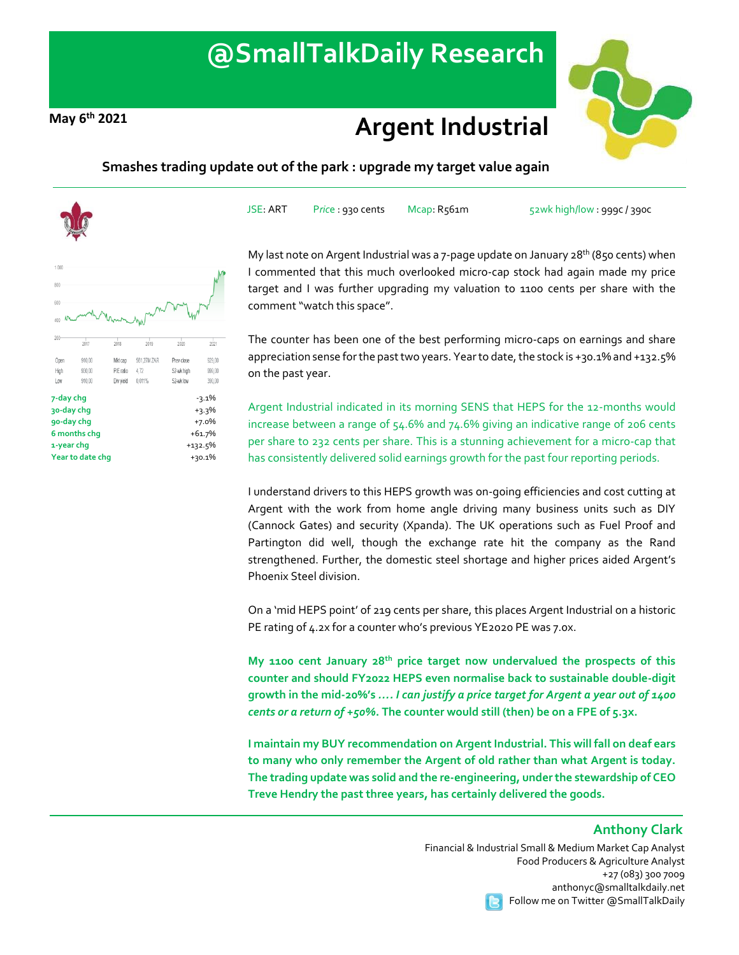# **@SmallTalkDaily Research**

## **May 6th <sup>2021</sup> Argent Industrial**





#### **Smashes trading update out of the park : upgrade my target value again**



JSE: ART Price : 930 cents Mcap: R561m 52wk high/low : 999c / 390c

My last note on Argent Industrial was a 7-page update on January  $28<sup>th</sup>$  (850 cents) when I commented that this much overlooked micro-cap stock had again made my price target and I was further upgrading my valuation to 1100 cents per share with the comment "watch this space".

The counter has been one of the best performing micro-caps on earnings and share appreciation sense for the past two years. Year to date, the stock is +30.1% and +132.5% on the past year.

Argent Industrial indicated in its morning SENS that HEPS for the 12-months would increase between a range of 54.6% and 74.6% giving an indicative range of 206 cents per share to 232 cents per share. This is a stunning achievement for a micro-cap that has consistently delivered solid earnings growth for the past four reporting periods.

I understand drivers to this HEPS growth was on-going efficiencies and cost cutting at Argent with the work from home angle driving many business units such as DIY (Cannock Gates) and security (Xpanda). The UK operations such as Fuel Proof and Partington did well, though the exchange rate hit the company as the Rand strengthened. Further, the domestic steel shortage and higher prices aided Argent's Phoenix Steel division.

On a 'mid HEPS point' of 219 cents per share, this places Argent Industrial on a historic PE rating of 4.2x for a counter who's previous YE2020 PE was 7.0x.

**My 1100 cent January 28th price target now undervalued the prospects of this counter and should FY2022 HEPS even normalise back to sustainable double-digit growth in the mid-20%'s** *…. I can justify a price target for Argent a year out of 1400 cents or a return of +50%***. The counter would still (then) be on a FPE of 5.3x.**

**I maintain my BUY recommendation on Argent Industrial. This will fall on deaf ears to many who only remember the Argent of old rather than what Argent is today. The trading update was solid and the re-engineering, under the stewardship of CEO Treve Hendry the past three years, has certainly delivered the goods.**

### **Anthony Clark**

Financial & Industrial Small & Medium Market Cap Analyst Food Producers & Agriculture Analyst +27 (083) 300 7009 anthonyc@smalltalkdaily.net Follow me on Twitter @SmallTalkDaily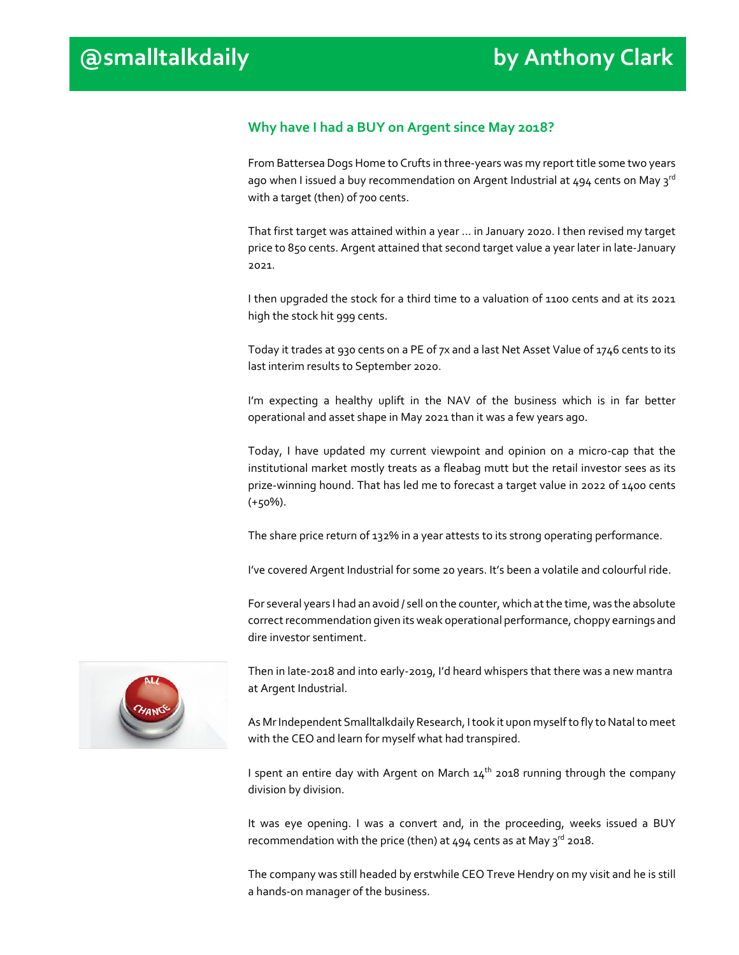#### **Why have I had a BUY on Argent since May 2018?**

From Battersea Dogs Home to Crufts in three-years was my report title some two years ago when I issued a buy recommendation on Argent Industrial at  $494$  cents on May 3<sup>rd</sup> with a target (then) of 700 cents.

That first target was attained within a year … in January 2020. I then revised my target price to 850 cents. Argent attained that second target value a year later in late-January 2021.

I then upgraded the stock for a third time to a valuation of 1100 cents and at its 2021 high the stock hit 999 cents.

Today it trades at 930 cents on a PE of 7x and a last Net Asset Value of 1746 cents to its last interim results to September 2020.

I'm expecting a healthy uplift in the NAV of the business which is in far better operational and asset shape in May 2021 than it was a few years ago.

Today, I have updated my current viewpoint and opinion on a micro-cap that the institutional market mostly treats as a fleabag mutt but the retail investor sees as its prize-winning hound. That has led me to forecast a target value in 2022 of 1400 cents (+50%).

The share price return of 132% in a year attests to its strong operating performance.

I've covered Argent Industrial for some 20 years. It's been a volatile and colourful ride.

For several years I had an avoid / sell on the counter, which at the time, was the absolute correct recommendation given its weak operational performance, choppy earnings and dire investor sentiment.



Then in late-2018 and into early-2019, I'd heard whispers that there was a new mantra at Argent Industrial.

As Mr Independent Smalltalkdaily Research, I took it upon myself to fly to Natal to meet with the CEO and learn for myself what had transpired.

I spent an entire day with Argent on March  $14<sup>th</sup>$  2018 running through the company division by division.

It was eye opening. I was a convert and, in the proceeding, weeks issued a BUY recommendation with the price (then) at  $494$  cents as at May  $3^{\text{rd}}$  2018.

The company was still headed by erstwhile CEO Treve Hendry on my visit and he is still a hands-on manager of the business.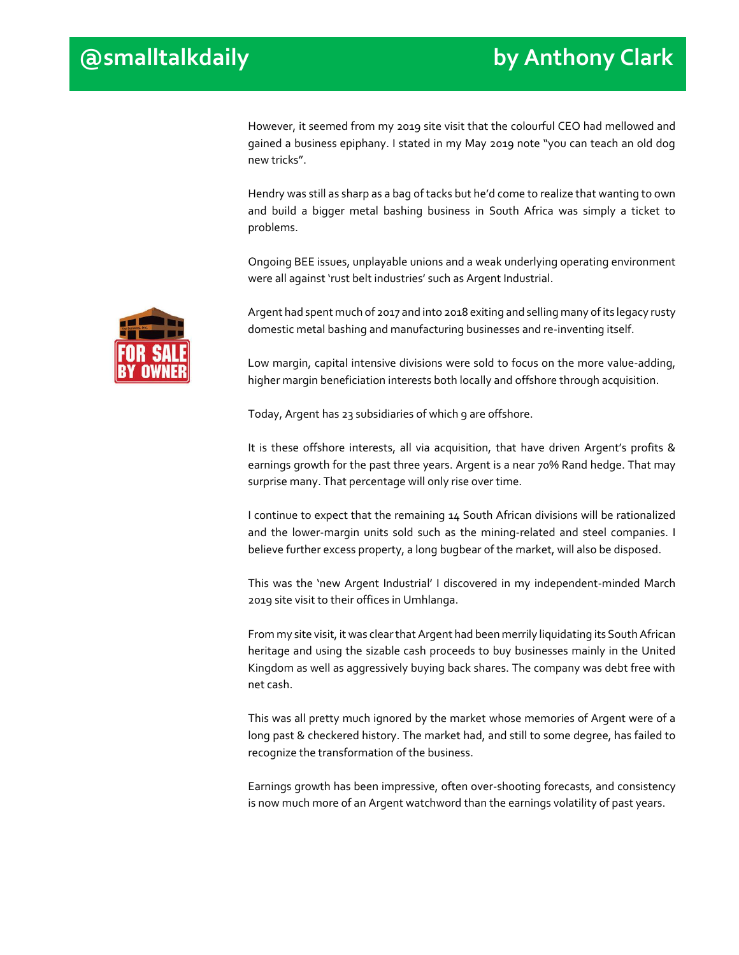However, it seemed from my 2019 site visit that the colourful CEO had mellowed and gained a business epiphany. I stated in my May 2019 note "you can teach an old dog new tricks".

Hendry was still as sharp as a bag of tacks but he'd come to realize that wanting to own and build a bigger metal bashing business in South Africa was simply a ticket to problems.

Ongoing BEE issues, unplayable unions and a weak underlying operating environment were all against 'rust belt industries' such as Argent Industrial.



Argent had spent much of 2017 and into 2018 exiting and selling many of its legacy rusty domestic metal bashing and manufacturing businesses and re-inventing itself.

Low margin, capital intensive divisions were sold to focus on the more value-adding, higher margin beneficiation interests both locally and offshore through acquisition.

Today, Argent has 23 subsidiaries of which 9 are offshore.

It is these offshore interests, all via acquisition, that have driven Argent's profits & earnings growth for the past three years. Argent is a near 70% Rand hedge. That may surprise many. That percentage will only rise over time.

I continue to expect that the remaining 14 South African divisions will be rationalized and the lower-margin units sold such as the mining-related and steel companies. I believe further excess property, a long bugbear of the market, will also be disposed.

This was the 'new Argent Industrial' I discovered in my independent-minded March 2019 site visit to their offices in Umhlanga.

From my site visit, it was clear that Argent had been merrily liquidating its South African heritage and using the sizable cash proceeds to buy businesses mainly in the United Kingdom as well as aggressively buying back shares. The company was debt free with net cash.

This was all pretty much ignored by the market whose memories of Argent were of a long past & checkered history. The market had, and still to some degree, has failed to recognize the transformation of the business.

Earnings growth has been impressive, often over-shooting forecasts, and consistency is now much more of an Argent watchword than the earnings volatility of past years.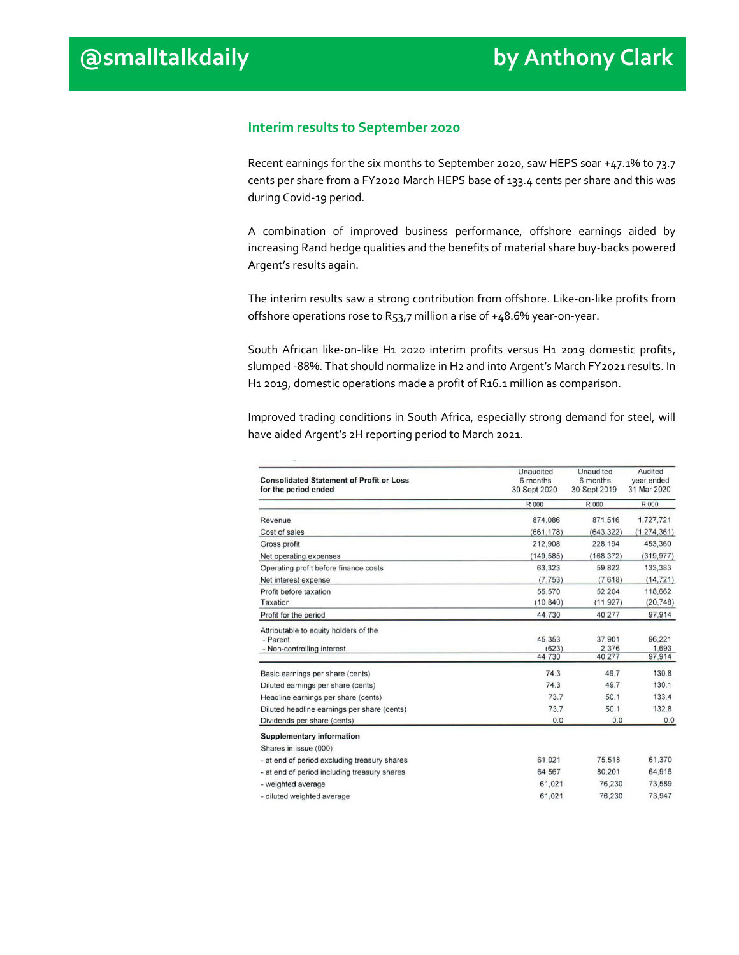#### **Interim results to September 2020**

Recent earnings for the six months to September 2020, saw HEPS soar +47.1% to 73.7 cents per share from a FY2020 March HEPS base of 133.4 cents per share and this was during Covid-19 period.

A combination of improved business performance, offshore earnings aided by increasing Rand hedge qualities and the benefits of material share buy-backs powered Argent's results again.

The interim results saw a strong contribution from offshore. Like-on-like profits from offshore operations rose to R53,7 million a rise of +48.6% year-on-year.

South African like-on-like H1 2020 interim profits versus H1 2019 domestic profits, slumped -88%. That should normalize in H2 and into Argent's March FY2021 results. In H1 2019, domestic operations made a profit of R16.1 million as comparison.

Improved trading conditions in South Africa, especially strong demand for steel, will have aided Argent's 2H reporting period to March 2021.

|                                                 | Unaudited    | Unaudited    | Audited       |
|-------------------------------------------------|--------------|--------------|---------------|
| <b>Consolidated Statement of Profit or Loss</b> | 6 months     | 6 months     | vear ended    |
| for the period ended                            | 30 Sept 2020 | 30 Sept 2019 | 31 Mar 2020   |
|                                                 | R 000        | R 000        | <b>R</b> 000  |
| Revenue                                         | 874,086      | 871,516      | 1,727,721     |
| Cost of sales                                   | (661, 178)   | (643, 322)   | (1, 274, 361) |
| Gross profit                                    | 212,908      | 228,194      | 453,360       |
| Net operating expenses                          | (149.585)    | (168, 372)   | (319, 977)    |
| Operating profit before finance costs           | 63,323       | 59.822       | 133,383       |
| Net interest expense                            | (7.753)      | (7,618)      | (14.721)      |
| Profit before taxation                          | 55,570       | 52,204       | 118,662       |
| Taxation                                        | (10, 840)    | (11, 927)    | (20, 748)     |
| Profit for the period                           | 44,730       | 40,277       | 97,914        |
| Attributable to equity holders of the           |              |              |               |
| - Parent                                        | 45.353       | 37,901       | 96.221        |
| - Non-controlling interest                      | (623)        | 2,376        | 1,693         |
|                                                 | 44,730       | 40,277       | 97,914        |
| Basic earnings per share (cents)                | 74.3         | 49.7         | 130.8         |
| Diluted earnings per share (cents)              | 74.3         | 49.7         | 130.1         |
| Headline earnings per share (cents)             | 73.7         | 50.1         | 133.4         |
| Diluted headline earnings per share (cents)     | 73.7         | 50.1         | 132.8         |
| Dividends per share (cents)                     | 0.0          | 0.0          | 0.0           |
| <b>Supplementary information</b>                |              |              |               |
| Shares in issue (000)                           |              |              |               |
| - at end of period excluding treasury shares    | 61,021       | 75,518       | 61,370        |
| - at end of period including treasury shares    | 64.567       | 80.201       | 64,916        |
| - weighted average                              | 61,021       | 76,230       | 73,589        |
| - diluted weighted average                      | 61,021       | 76,230       | 73,947        |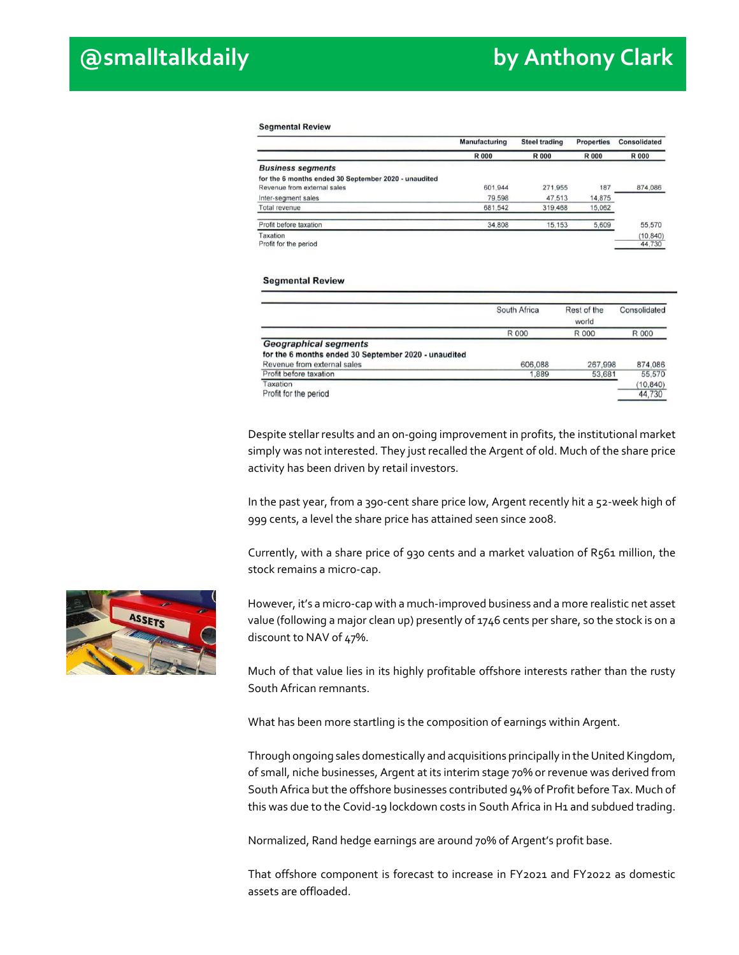#### **Segmental Review**

|                                                      | <b>Manufacturing</b> | <b>Steel trading</b> | <b>Properties</b> | <b>Consolidated</b> |
|------------------------------------------------------|----------------------|----------------------|-------------------|---------------------|
|                                                      | <b>R000</b>          | <b>R000</b>          | <b>R000</b>       | <b>R000</b>         |
| <b>Business segments</b>                             |                      |                      |                   |                     |
| for the 6 months ended 30 September 2020 - unaudited |                      |                      |                   |                     |
| Revenue from external sales                          | 601.944              | 271,955              | 187               | 874,086             |
| Inter-segment sales                                  | 79.598               | 47.513               | 14,875            |                     |
| Total revenue                                        | 681,542              | 319,468              | 15,062            |                     |
| Profit before taxation                               | 34.808               | 15.153               | 5,609             | 55,570              |
| Taxation                                             |                      |                      |                   | (10, 840)           |
| Profit for the period                                |                      |                      |                   | 44,730              |

#### **Segmental Review**

|                                                      | South Africa | Rest of the<br>world | Consolidated |
|------------------------------------------------------|--------------|----------------------|--------------|
|                                                      | R 000        | R 000                | R 000        |
| <b>Geographical segments</b>                         |              |                      |              |
| for the 6 months ended 30 September 2020 - unaudited |              |                      |              |
| Revenue from external sales                          | 606,088      | 267,998              | 874.086      |
| Profit before taxation                               | 1.889        | 53,681               | 55,570       |
| Taxation                                             |              |                      | (10, 840)    |
| Profit for the period                                |              |                      | 44,730       |

Despite stellar results and an on-going improvement in profits, the institutional market simply was not interested. They just recalled the Argent of old. Much of the share price activity has been driven by retail investors.

In the past year, from a 390-cent share price low, Argent recently hit a 52-week high of 999 cents, a level the share price has attained seen since 2008.

Currently, with a share price of 930 cents and a market valuation of R561 million, the stock remains a micro-cap.

However, it's a micro-cap with a much-improved business and a more realistic net asset value (following a major clean up) presently of 1746 cents per share, so the stock is on a discount to NAV of 47%.

Much of that value lies in its highly profitable offshore interests rather than the rusty South African remnants.

What has been more startling is the composition of earnings within Argent.

Through ongoing sales domestically and acquisitions principally in the United Kingdom, of small, niche businesses, Argent at its interim stage 70% or revenue was derived from South Africa but the offshore businesses contributed 94% of Profit before Tax. Much of this was due to the Covid-19 lockdown costs in South Africa in H1 and subdued trading.

Normalized, Rand hedge earnings are around 70% of Argent's profit base.

That offshore component is forecast to increase in FY2021 and FY2022 as domestic assets are offloaded.

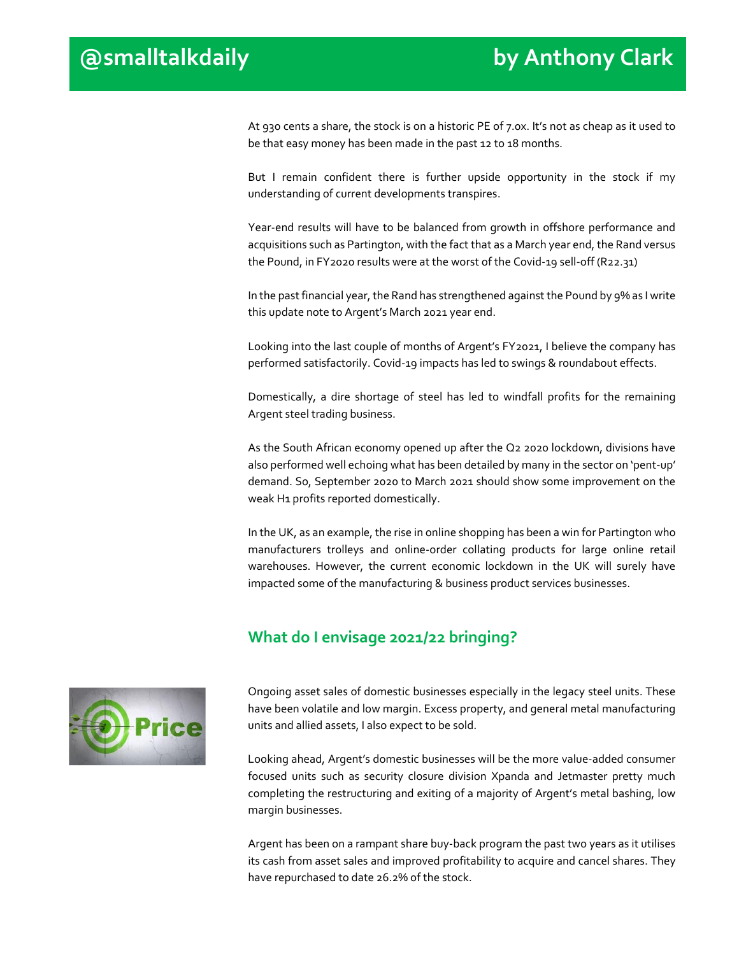At 930 cents a share, the stock is on a historic PE of 7.0x. It's not as cheap as it used to be that easy money has been made in the past 12 to 18 months.

But I remain confident there is further upside opportunity in the stock if my understanding of current developments transpires.

Year-end results will have to be balanced from growth in offshore performance and acquisitions such as Partington, with the fact that as a March year end, the Rand versus the Pound, in FY2020 results were at the worst of the Covid-19 sell-off (R22.31)

In the past financial year, the Rand has strengthened against the Pound by 9% as I write this update note to Argent's March 2021 year end.

Looking into the last couple of months of Argent's FY2021, I believe the company has performed satisfactorily. Covid-19 impacts has led to swings & roundabout effects.

Domestically, a dire shortage of steel has led to windfall profits for the remaining Argent steel trading business.

As the South African economy opened up after the Q2 2020 lockdown, divisions have also performed well echoing what has been detailed by many in the sector on 'pent-up' demand. So, September 2020 to March 2021 should show some improvement on the weak H1 profits reported domestically.

In the UK, as an example, the rise in online shopping has been a win for Partington who manufacturers trolleys and online-order collating products for large online retail warehouses. However, the current economic lockdown in the UK will surely have impacted some of the manufacturing & business product services businesses.

## **What do I envisage 2021/22 bringing?**



Ongoing asset sales of domestic businesses especially in the legacy steel units. These have been volatile and low margin. Excess property, and general metal manufacturing units and allied assets, I also expect to be sold.

Looking ahead, Argent's domestic businesses will be the more value-added consumer focused units such as security closure division Xpanda and Jetmaster pretty much completing the restructuring and exiting of a majority of Argent's metal bashing, low margin businesses.

Argent has been on a rampant share buy-back program the past two years as it utilises its cash from asset sales and improved profitability to acquire and cancel shares. They have repurchased to date 26.2% of the stock.